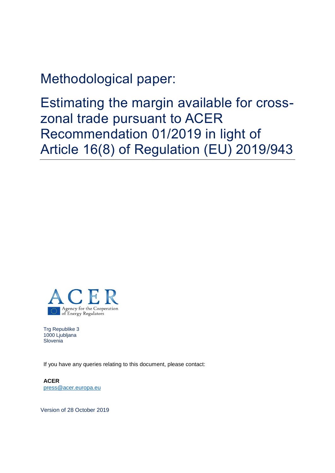Methodological paper:

Estimating the margin available for crosszonal trade pursuant to ACER Recommendation 01/2019 in light of Article 16(8) of Regulation (EU) 2019/943



Trg Republike 3 1000 Ljubljana **Slovenia** 

If you have any queries relating to this document, please contact:

**ACER**  [press@acer.europa.eu](mailto:press@acer.europa.eu)

Version of 28 October 2019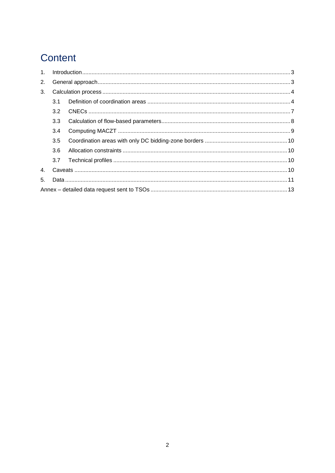# Content

| 1 <sup>1</sup> |     |  |  |  |  |  |  |
|----------------|-----|--|--|--|--|--|--|
| 2.             |     |  |  |  |  |  |  |
| 3.             |     |  |  |  |  |  |  |
|                | 3.1 |  |  |  |  |  |  |
|                | 3.2 |  |  |  |  |  |  |
|                | 3.3 |  |  |  |  |  |  |
|                | 3.4 |  |  |  |  |  |  |
|                | 3.5 |  |  |  |  |  |  |
|                | 3.6 |  |  |  |  |  |  |
|                | 3.7 |  |  |  |  |  |  |
| 4 <sub>1</sub> |     |  |  |  |  |  |  |
| 5.             |     |  |  |  |  |  |  |
|                |     |  |  |  |  |  |  |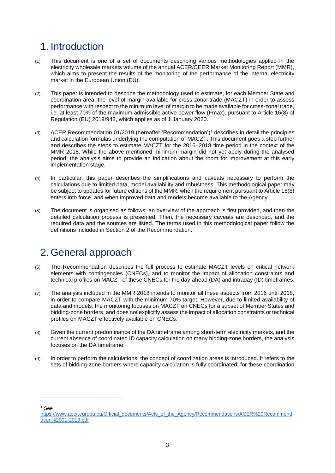## <span id="page-2-0"></span>1. Introduction

- (1) This document is one of a set of documents describing various methodologies applied in the electricity wholesale markets volume of the annual ACER/CEER Market Monitoring Report (MMR), which aims to present the results of the monitoring of the performance of the internal electricity market in the European Union (EU).
- (2) This paper is intended to describe the methodology used to estimate, for each Member State and coordination area, the level of margin available for cross-zonal trade (MACZT) in order to assess performance with respect to the minimum level of margin to be made available for cross-zonal trade, i.e. at least 70% of the maximum admissible active power flow (Fmax), pursuant to Article 16(8) of Regulation (EU) 2019/943, which applies as of 1 January 2020.
- (3) ACER Recommendation 01/2019 (hereafter 'Recommendation')<sup>1</sup> describes in detail the principles and calculation formulas underlying the computation of MACZT. This document goes a step further and describes the steps to estimate MACZT for the 2016–2018 time period in the context of the MMR 2018. While the above-mentioned minimum margin did not yet apply during the analysed period, the analysis aims to provide an indication about the room for improvement at this early implementation stage.
- (4) In particular, this paper describes the simplifications and caveats necessary to perform the calculations due to limited data, model availability and robustness. This methodological paper may be subject to updates for future editions of the MMR, when the requirement pursuant to Article 16(8) enters into force, and when improved data and models become available to the Agency.
- (5) The document is organised as follows: an overview of the approach is first provided, and then the detailed calculation process is presented. Then, the necessary caveats are described, and the required data and the sources are listed. The terms used in this methodological paper follow the definitions included in Section 2 of the Recommendation.

## <span id="page-2-1"></span>2. General approach

- (6) The Recommendation describes the full process to estimate MACZT levels on critical network elements with contingencies (CNECs), and to monitor the impact of allocation constraints and technical profiles on MACZT of these CNECs for the day-ahead (DA) and intraday (ID) timeframes.
- (7) The analysis included in the MMR 2018 intends to monitor all these aspects from 2016 until 2018, in order to compare MACZT with the minimum 70% target. However, due to limited availability of data and models, the monitoring focuses on MACZT on CNECs for a subset of Member States and bidding-zone borders, and does not explicitly assess the impact of allocation constraints or technical profiles on MACZT effectively available on CNECs.
- (8) Given the current predominance of the DA timeframe among short-term electricity markets, and the current absence of coordinated ID capacity calculation on many bidding-zone borders, the analysis focuses on the DA timeframe.
- (9) In order to perform the calculations, the concept of coordination areas is introduced. It refers to the sets of bidding-zone borders where capacity calculation is fully coordinated; for these coordination

<sup>1</sup> See

-

[https://www.acer.europa.eu/Official\\_documents/Acts\\_of\\_the\\_Agency/Recommendations/ACER%20Recommend](https://www.acer.europa.eu/Official_documents/Acts_of_the_Agency/Recommendations/ACER%20Recommendation%2001-2019.pdf) [ation%2001-2019.pdf](https://www.acer.europa.eu/Official_documents/Acts_of_the_Agency/Recommendations/ACER%20Recommendation%2001-2019.pdf)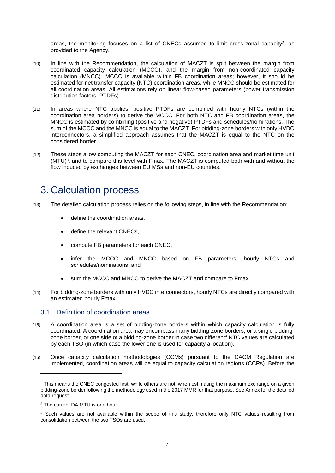areas, the monitoring focuses on a list of CNECs assumed to limit cross-zonal capacity<sup>2</sup>, as provided to the Agency.

- (10) In line with the Recommendation, the calculation of MACZT is split between the margin from coordinated capacity calculation (MCCC), and the margin from non-coordinated capacity calculation (MNCC). MCCC is available within FB coordination areas; however, it should be estimated for net transfer capacity (NTC) coordination areas, while MNCC should be estimated for all coordination areas. All estimations rely on linear flow-based parameters (power transmission distribution factors, PTDFs).
- (11) In areas where NTC applies, positive PTDFs are combined with hourly NTCs (within the coordination area borders) to derive the MCCC. For both NTC and FB coordination areas, the MNCC is estimated by combining (positive and negative) PTDFs and schedules/nominations. The sum of the MCCC and the MNCC is equal to the MACZT. For bidding-zone borders with only HVDC interconnectors, a simplified approach assumes that the MACZT is equal to the NTC on the considered border.
- (12) These steps allow computing the MACZT for each CNEC, coordination area and market time unit (MTU) 3 , and to compare this level with Fmax. The MACZT is computed both with and without the flow induced by exchanges between EU MSs and non-EU countries.

## <span id="page-3-0"></span>3. Calculation process

- (13) The detailed calculation process relies on the following steps, in line with the Recommendation:
	- define the coordination areas,
	- define the relevant CNECs,
	- compute FB parameters for each CNEC,
	- infer the MCCC and MNCC based on FB parameters, hourly NTCs and schedules/nominations, and
	- sum the MCCC and MNCC to derive the MACZT and compare to Fmax.
- (14) For bidding-zone borders with only HVDC interconnectors, hourly NTCs are directly compared with an estimated hourly Fmax.

### <span id="page-3-1"></span>3.1 Definition of coordination areas

- (15) A coordination area is a set of bidding-zone borders within which capacity calculation is fully coordinated. A coordination area may encompass many bidding-zone borders, or a single biddingzone border, or one side of a bidding-zone border in case two different<sup>4</sup> NTC values are calculated by each TSO (in which case the lower one is used for capacity allocation).
- (16) Once capacity calculation methodologies (CCMs) pursuant to the CACM Regulation are implemented, coordination areas will be equal to capacity calculation regions (CCRs). Before the

-

<sup>&</sup>lt;sup>2</sup> This means the CNEC congested first, while others are not, when estimating the maximum exchange on a given bidding-zone border following the methodology used in the 2017 MMR for that purpose. See Annex for the detailed data request.

<sup>3</sup> The current DA MTU is one hour.

<sup>4</sup> Such values are not available within the scope of this study, therefore only NTC values resulting from consolidation between the two TSOs are used.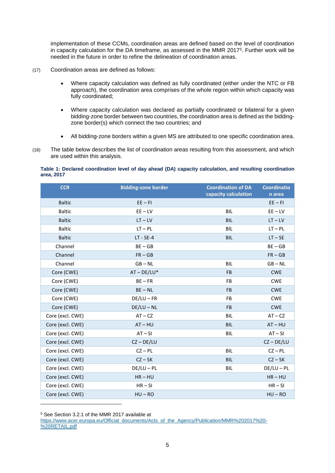<span id="page-4-0"></span>implementation of these CCMs, coordination areas are defined based on the level of coordination in capacity calculation for the DA timeframe, as assessed in the MMR 2017<sup>5</sup> . Further work will be needed in the future in order to refine the delineation of coordination areas.

- (17) Coordination areas are defined as follows:
	- Where capacity calculation was defined as fully coordinated (either under the NTC or FB approach), the coordination area comprises of the whole region within which capacity was fully coordinated;
	- Where capacity calculation was declared as partially coordinated or bilateral for a given bidding-zone border between two countries, the coordination area is defined as the biddingzone border(s) which connect the two countries; and
	- All bidding-zone borders within a given MS are attributed to one specific coordination area.
- (18) The table below describes the list of coordination areas resulting from this assessment, and which are used within this analysis.

#### **Table 1: Declared coordination level of day ahead (DA) capacity calculation, and resulting coordination area, 2017**

| <b>CCR</b>       | <b>Bidding-zone border</b> | <b>Coordination of DA</b> | <b>Coordinatio</b> |
|------------------|----------------------------|---------------------------|--------------------|
|                  |                            | capacity calculation      | n area             |
| <b>Baltic</b>    | $EE - FI$                  |                           | $EE - FI$          |
| <b>Baltic</b>    | $EE - LV$                  | <b>BIL</b>                | $EE - LV$          |
| <b>Baltic</b>    | $LT - LV$                  | <b>BIL</b>                | $LT - LV$          |
| <b>Baltic</b>    | $LT - PL$                  | <b>BIL</b>                | $LT - PL$          |
| <b>Baltic</b>    | $LT - SE-4$                | <b>BIL</b>                | $LT - SE$          |
| Channel          | $BE - GB$                  |                           | $BE - GB$          |
| Channel          | $FR - GB$                  |                           | $FR - GB$          |
| Channel          | $GB - NL$                  | <b>BIL</b>                | $GB - NL$          |
| Core (CWE)       | $AT - DE/LU^*$             | <b>FB</b>                 | <b>CWE</b>         |
| Core (CWE)       | $BE - FR$                  | <b>FB</b>                 | <b>CWE</b>         |
| Core (CWE)       | $BE - NL$                  | <b>FB</b>                 | <b>CWE</b>         |
| Core (CWE)       | $DE/LU - FR$               | <b>FB</b>                 | <b>CWE</b>         |
| Core (CWE)       | $DE/LU - NL$               | <b>FB</b>                 | <b>CWE</b>         |
| Core (excl. CWE) | $AT - CZ$                  | <b>BIL</b>                | $AT - CZ$          |
| Core (excl. CWE) | $AT - HU$                  | <b>BIL</b>                | $AT - HU$          |
| Core (excl. CWE) | $AT-SI$                    | BIL                       | $AT - SI$          |
| Core (excl. CWE) | $CZ - DE/LU$               |                           | $CZ - DE/LU$       |
| Core (excl. CWE) | $CZ - PL$                  | BIL                       | $CZ - PL$          |
| Core (excl. CWE) | $CZ - SK$                  | <b>BIL</b>                | $CZ - SK$          |
| Core (excl. CWE) | $DE/LU - PL$               | BIL                       | $DE/LU - PL$       |
| Core (excl. CWE) | $HR - HU$                  |                           | $HR - HU$          |
| Core (excl. CWE) | $HR - SI$                  |                           | $HR-SI$            |
| Core (excl. CWE) | $HU - RO$                  |                           | $HU - RO$          |

<sup>5</sup> See Section 3.2.1 of the MMR 2017 available at

[https://www.acer.europa.eu/Official\\_documents/Acts\\_of\\_the\\_Agency/Publication/MMR%202017%20-](https://www.acer.europa.eu/Official_documents/Acts_of_the_Agency/Publication/MMR%202017%20-%20RETAIL.pdf) [%20RETAIL.pdf](https://www.acer.europa.eu/Official_documents/Acts_of_the_Agency/Publication/MMR%202017%20-%20RETAIL.pdf)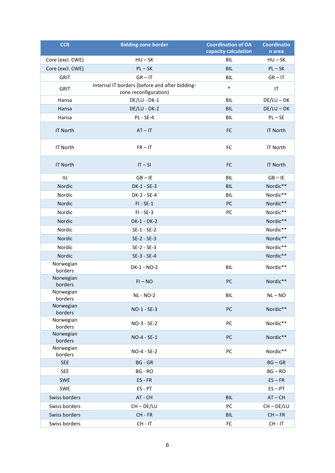| <b>CCR</b>           | <b>Bidding-zone border</b>                                              | <b>Coordination of DA</b> | <b>Coordinatio</b>                |
|----------------------|-------------------------------------------------------------------------|---------------------------|-----------------------------------|
|                      |                                                                         | capacity calculation      | n area                            |
| Core (excl. CWE)     | $HU - SK$                                                               | <b>BIL</b>                | $HU - SK$                         |
| Core (excl. CWE)     | $PL - SK$                                                               | <b>BIL</b>                | $PL - SK$                         |
| <b>GRIT</b>          | $GR - IT$                                                               | <b>BIL</b>                | $GR - IT$                         |
| <b>GRIT</b>          | Internal IT borders (before and after bidding-<br>zone reconfiguration) | $\ast$                    | $\ensuremath{\mathsf{IT}}\xspace$ |
| Hansa                | DE/LU - DK-1                                                            | <b>BIL</b>                | $DE/LU - DK$                      |
| Hansa                | DE/LU - DK-2                                                            | <b>BIL</b>                | $DE/LU - DK$                      |
| Hansa                | <b>PL - SE-4</b>                                                        | <b>BIL</b>                | $PL - SE$                         |
| <b>IT North</b>      | $AT - IT$                                                               | FC                        | <b>IT North</b>                   |
| <b>IT North</b>      | $FR - IT$                                                               | FC                        | <b>IT North</b>                   |
| <b>IT North</b>      | $IT-SI$                                                                 | FC                        | <b>IT North</b>                   |
| IU                   | $GB - IE$                                                               | <b>BIL</b>                | $GB - IE$                         |
| Nordic               | DK-1 - SE-3                                                             | <b>BIL</b>                | Nordic**                          |
| Nordic               | DK-2 - SE-4                                                             | <b>BIL</b>                | Nordic**                          |
| Nordic               | $FI - SE-1$                                                             | PC                        | Nordic**                          |
| Nordic               | $FI - SE-3$                                                             | PC                        | Nordic**                          |
| Nordic               | DK-1 - DK-2                                                             |                           | Nordic**                          |
| Nordic               | $SE-1 - SE-2$                                                           |                           | Nordic**                          |
| Nordic               | $SE-2 - SE-3$                                                           |                           | Nordic**                          |
| Nordic               | $SE-2 - SE-3$                                                           |                           | Nordic**                          |
| Nordic               | SE-3 - SE-4                                                             |                           | Nordic**                          |
| Norwegian<br>borders | DK-1 - NO-2                                                             | <b>BIL</b>                | Nordic**                          |
| Norwegian<br>borders | $FI - NO$                                                               | PC                        | Nordic**                          |
| Norwegian<br>borders | <b>NL - NO-2</b>                                                        | BIL                       | $NL - NO$                         |
| Norwegian<br>borders | NO-1 - SE-3                                                             | PC                        | Nordic**                          |
| Norwegian<br>borders | NO-3 - SE-2                                                             | PC                        | Nordic**                          |
| Norwegian<br>borders | NO-4 - SE-1                                                             | PC                        | Nordic**                          |
| Norwegian<br>borders | NO-4 - SE-2                                                             | PC                        | Nordic**                          |
| <b>SEE</b>           | <b>BG - GR</b>                                                          |                           | $BG - GR$                         |
| <b>SEE</b>           | BG - RO                                                                 |                           | $BG - RO$                         |
| SWE                  | $ES$ - $FR$                                                             |                           | $ES - FR$                         |
| <b>SWE</b>           | ES-PT                                                                   |                           | $ES - PT$                         |
| Swiss borders        | AT - CH                                                                 | <b>BIL</b>                | $AT - CH$                         |
| Swiss borders        | $CH - DE/LU$                                                            | PC                        | $CH - DE/LU$                      |
| Swiss borders        | CH-FR                                                                   | <b>BIL</b>                | $CH - FR$                         |
| Swiss borders        | $CH - IT$                                                               | FC                        | $CH - IT$                         |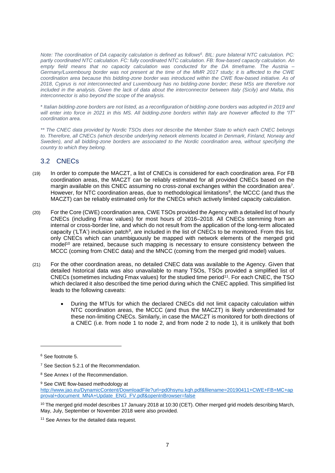*Note: The coordination of DA capacity calculation is defined as follows<sup>6</sup> . BIL: pure bilateral NTC calculation. PC: partly coordinated NTC calculation. FC: fully coordinated NTC calculation. FB: flow-based capacity calculation. An empty field means that no capacity calculation was conducted for the DA timeframe. The Austria – Germany/Luxembourg border was not present at the time of the MMR 2017 study; it is affected to the CWE coordination area because this bidding-zone border was introduced within the CWE flow-based initiative. As of 2018, Cyprus is not interconnected and Luxembourg has no bidding-zone border; these MSs are therefore not included in the analysis. Given the lack of data about the interconnector between Italy (Sicily) and Malta, this interconnector is also beyond the scope of the analysis.*

\* *Italian bidding-zone borders are not listed, as a reconfiguration of bidding-zone borders was adopted in 2019 and will enter into force in 2021 in this MS. All bidding-zone borders within Italy are however affected to the "IT" coordination area.*

*\*\* The CNEC data provided by Nordic TSOs does not describe the Member State to which each CNEC belongs to. Therefore, all CNECs (which describe underlying network elements located in Denmark, Finland, Norway and Sweden), and all bidding-zone borders are associated to the Nordic coordination area, without specifying the country to which they belong.*

## <span id="page-6-0"></span>3.2 CNECs

- (19) In order to compute the MACZT, a list of CNECs is considered for each coordination area. For FB coordination areas, the MACZT can be reliably estimated for all provided CNECs based on the margin available on this CNEC assuming no cross-zonal exchanges within the coordination area<sup>7</sup>. However, for NTC coordination areas, due to methodological limitations<sup>8</sup>, the MCCC (and thus the MACZT) can be reliably estimated only for the CNECs which actively limited capacity calculation.
- (20) For the Core (CWE) coordination area, CWE TSOs provided the Agency with a detailed list of hourly CNECs (including Fmax values) for most hours of 2016–2018. All CNECs stemming from an internal or cross-border line, and which do not result from the application of the long-term allocated capacity ('LTA') inclusion patch<sup>9</sup>, are included in the list of CNECs to be monitored. From this list, only CNECs which can unambiguously be mapped with network elements of the merged grid model<sup>10</sup> are retained, because such mapping is necessary to ensure consistency between the MCCC (coming from CNEC data) and the MNCC (coming from the merged grid model) values.
- <span id="page-6-1"></span>(21) For the other coordination areas, no detailed CNEC data was available to the Agency. Given that detailed historical data was also unavailable to many TSOs, TSOs provided a simplified list of CNECs (sometimes including Fmax values) for the studied time period<sup>11</sup>. For each CNEC, the TSO which declared it also described the time period during which the CNEC applied. This simplified list leads to the following caveats:
	- During the MTUs for which the declared CNECs did not limit capacity calculation within NTC coordination areas, the MCCC (and thus the MACZT) is likely underestimated for these non-limiting CNECs. Similarly, in case the MACZT is monitored for both directions of a CNEC (i.e. from node 1 to node 2, and from node 2 to node 1), it is unlikely that both

<sup>6</sup> See footnote [5.](#page-4-0)

<sup>7</sup> See Section 5.2.1 of the Recommendation.

<sup>8</sup> See Annex I of the Recommendation.

<sup>&</sup>lt;sup>9</sup> See CWE flow-based methodology at

[http://www.jao.eu/DynamicContent/DownloadFile?url=pd0hsynu.kqh.pdf&filename=20190411+CWE+FB+MC+ap](http://www.jao.eu/DynamicContent/DownloadFile?url=pd0hsynu.kqh.pdf&filename=20190411+CWE+FB+MC+approval+document_MNA+Update_ENG_FV.pdf&openInBrowser=false) [proval+document\\_MNA+Update\\_ENG\\_FV.pdf&openInBrowser=false](http://www.jao.eu/DynamicContent/DownloadFile?url=pd0hsynu.kqh.pdf&filename=20190411+CWE+FB+MC+approval+document_MNA+Update_ENG_FV.pdf&openInBrowser=false)

<sup>&</sup>lt;sup>10</sup> The merged grid model describes 17 January 2018 at 10:30 (CET). Other merged grid models describing March, May, July, September or November 2018 were also provided.

<sup>&</sup>lt;sup>11</sup> See Annex for the detailed data request.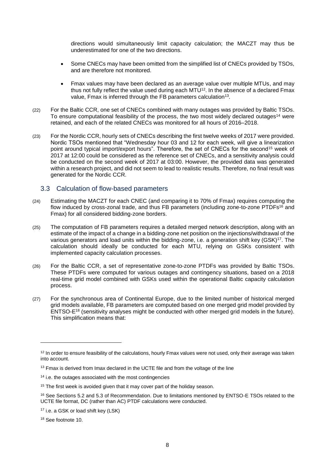directions would simultaneously limit capacity calculation; the MACZT may thus be underestimated for one of the two directions.

- Some CNECs may have been omitted from the simplified list of CNECs provided by TSOs, and are therefore not monitored.
- Fmax values may have been declared as an average value over multiple MTUs, and may thus not fully reflect the value used during each  $MTU^{12}$ . In the absence of a declared Fmax value, Fmax is inferred through the FB parameters calculation<sup>13</sup>.
- (22) For the Baltic CCR, one set of CNECs combined with many outages was provided by Baltic TSOs. To ensure computational feasibility of the process, the two most widely declared outages<sup>14</sup> were retained, and each of the related CNECs was monitored for all hours of 2016–2018.
- (23) For the Nordic CCR, hourly sets of CNECs describing the first twelve weeks of 2017 were provided. Nordic TSOs mentioned that "Wednesday hour 03 and 12 for each week, will give a linearization point around typical import/export hours". Therefore, the set of CNECs for the second<sup>15</sup> week of 2017 at 12:00 could be considered as the reference set of CNECs, and a sensitivity analysis could be conducted on the second week of 2017 at 03:00. However, the provided data was generated within a research project, and did not seem to lead to realistic results. Therefore, no final result was generated for the Nordic CCR.

### <span id="page-7-0"></span>3.3 Calculation of flow-based parameters

- (24) Estimating the MACZT for each CNEC (and comparing it to 70% of Fmax) requires computing the flow induced by cross-zonal trade, and thus FB parameters (including zone-to-zone PTDFs<sup>16</sup> and Fmax) for all considered bidding-zone borders.
- (25) The computation of FB parameters requires a detailed merged network description, along with an estimate of the impact of a change in a bidding-zone net position on the injections/withdrawal of the various generators and load units within the bidding-zone, i.e. a generation shift key (GSK)<sup>17</sup>. The calculation should ideally be conducted for each MTU, relying on GSKs consistent with implemented capacity calculation processes.
- (26) For the Baltic CCR, a set of representative zone-to-zone PTDFs was provided by Baltic TSOs. These PTDFs were computed for various outages and contingency situations, based on a 2018 real-time grid model combined with GSKs used within the operational Baltic capacity calculation process.
- (27) For the synchronous area of Continental Europe, due to the limited number of historical merged grid models available, FB parameters are computed based on one merged grid model provided by ENTSO-E<sup>18</sup> (sensitivity analyses might be conducted with other merged grid models in the future). This simplification means that:

 $12$  In order to ensure feasibility of the calculations, hourly Fmax values were not used, only their average was taken into account.

<sup>&</sup>lt;sup>13</sup> Fmax is derived from Imax declared in the UCTE file and from the voltage of the line

<sup>&</sup>lt;sup>14</sup> i.e. the outages associated with the most contingencies

<sup>&</sup>lt;sup>15</sup> The first week is avoided given that it may cover part of the holiday season.

<sup>16</sup> See Sections 5.2 and 5.3 of Recommendation. Due to limitations mentioned by ENTSO-E TSOs related to the UCTE file format, DC (rather than AC) PTDF calculations were conducted.

<sup>17</sup> i.e. a GSK or load shift key (LSK)

<sup>18</sup> See footnot[e 10.](#page-6-1)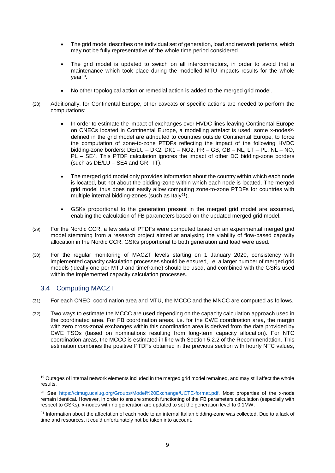- The grid model describes one individual set of generation, load and network patterns, which may not be fully representative of the whole time period considered.
- The grid model is updated to switch on all interconnectors, in order to avoid that a maintenance which took place during the modelled MTU impacts results for the whole year<sup>19</sup>.
- No other topological action or remedial action is added to the merged grid model.
- (28) Additionally, for Continental Europe, other caveats or specific actions are needed to perform the computations:
	- In order to estimate the impact of exchanges over HVDC lines leaving Continental Europe on CNECs located in Continental Europe, a modelling artefact is used: some x-nodes<sup>20</sup> defined in the grid model are attributed to countries outside Continental Europe, to force the computation of zone-to-zone PTDFs reflecting the impact of the following HVDC bidding-zone borders: DE/LU – DK2, DK1 – NO2, FR – GB, GB – NL, LT – PL, NL – NO, PL – SE4. This PTDF calculation ignores the impact of other DC bidding-zone borders (such as  $DE/LU - SE4$  and  $GR - IT$ ).
	- The merged grid model only provides information about the country within which each node is located, but not about the bidding-zone within which each node is located. The merged grid model thus does not easily allow computing zone-to-zone PTDFs for countries with multiple internal bidding-zones (such as Italy<sup>21</sup>).
	- GSKs proportional to the generation present in the merged grid model are assumed, enabling the calculation of FB parameters based on the updated merged grid model.
- (29) For the Nordic CCR, a few sets of PTDFs were computed based on an experimental merged grid model stemming from a research project aimed at analysing the viability of flow-based capacity allocation in the Nordic CCR. GSKs proportional to both generation and load were used.
- (30) For the regular monitoring of MACZT levels starting on 1 January 2020, consistency with implemented capacity calculation processes should be ensured, i.e. a larger number of merged grid models (ideally one per MTU and timeframe) should be used, and combined with the GSKs used within the implemented capacity calculation processes.

## <span id="page-8-0"></span>3.4 Computing MACZT

- (31) For each CNEC, coordination area and MTU, the MCCC and the MNCC are computed as follows.
- (32) Two ways to estimate the MCCC are used depending on the capacity calculation approach used in the coordinated area. For FB coordination areas, i.e. for the CWE coordination area, the margin with zero cross-zonal exchanges within this coordination area is derived from the data provided by CWE TSOs (based on nominations resulting from long-term capacity allocation). For NTC coordination areas, the MCCC is estimated in line with Section 5.2.2 of the Recommendation. This estimation combines the positive PTDFs obtained in the previous section with hourly NTC values,

<sup>&</sup>lt;sup>19</sup> Outages of internal network elements included in the merged grid model remained, and may still affect the whole results.

<sup>&</sup>lt;sup>20</sup> See [https://cimug.ucaiug.org/Groups/Model%20Exchange/UCTE-format.pdf.](https://cimug.ucaiug.org/Groups/Model%20Exchange/UCTE-format.pdf) Most properties of the x-node remain identical. However, in order to ensure smooth functioning of the FB parameters calculation (especially with respect to GSKs), x-nodes with no generation are updated to set the generation level to 0.1MW.

 $21$  Information about the affectation of each node to an internal Italian bidding-zone was collected. Due to a lack of time and resources, it could unfortunately not be taken into account.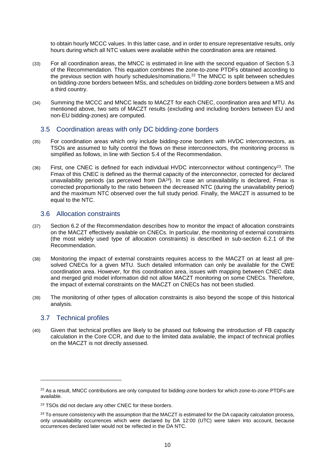to obtain hourly MCCC values. In this latter case, and in order to ensure representative results, only hours during which all NTC values were available within the coordination area are retained.

- (33) For all coordination areas, the MNCC is estimated in line with the second equation of Section 5.3 of the Recommendation. This equation combines the zone-to-zone PTDFs obtained according to the previous section with hourly schedules/nominations. <sup>22</sup> The MNCC is split between schedules on bidding-zone borders between MSs, and schedules on bidding-zone borders between a MS and a third country.
- (34) Summing the MCCC and MNCC leads to MACZT for each CNEC, coordination area and MTU. As mentioned above, two sets of MACZT results (excluding and including borders between EU and non-EU bidding-zones) are computed.

#### <span id="page-9-0"></span>3.5 Coordination areas with only DC bidding-zone borders

- (35) For coordination areas which only include bidding-zone borders with HVDC interconnectors, as TSOs are assumed to fully control the flows on these interconnectors, the monitoring process is simplified as follows, in line with Section 5.4 of the Recommendation.
- $(36)$  First, one CNEC is defined for each individual HVDC interconnector without contingency<sup>23</sup>. The Fmax of this CNEC is defined as the thermal capacity of the interconnector, corrected for declared unavailability periods (as perceived from  $DA^{24}$ ). In case an unavailability is declared, Fmax is corrected proportionally to the ratio between the decreased NTC (during the unavailability period) and the maximum NTC observed over the full study period. Finally, the MACZT is assumed to be equal to the NTC.

### <span id="page-9-1"></span>3.6 Allocation constraints

- (37) Section 6.2 of the Recommendation describes how to monitor the impact of allocation constraints on the MACZT effectively available on CNECs. In particular, the monitoring of external constraints (the most widely used type of allocation constraints) is described in sub-section 6.2.1 of the Recommendation.
- (38) Monitoring the impact of external constraints requires access to the MACZT on at least all presolved CNECs for a given MTU. Such detailed information can only be available for the CWE coordination area. However, for this coordination area, issues with mapping between CNEC data and merged grid model information did not allow MACZT monitoring on some CNECs. Therefore, the impact of external constraints on the MACZT on CNECs has not been studied.
- (39) The monitoring of other types of allocation constraints is also beyond the scope of this historical analysis.

### <span id="page-9-2"></span>3.7 Technical profiles

-

(40) Given that technical profiles are likely to be phased out following the introduction of FB capacity calculation in the Core CCR, and due to the limited data available, the impact of technical profiles on the MACZT is not directly assessed.

<sup>&</sup>lt;sup>22</sup> As a result, MNCC contributions are only computed for bidding-zone borders for which zone-to-zone PTDFs are available.

<sup>&</sup>lt;sup>23</sup> TSOs did not declare any other CNEC for these borders.

 $24$  To ensure consistency with the assumption that the MACZT is estimated for the DA capacity calculation process, only unavailability occurrences which were declared by DA 12:00 (UTC) were taken into account, because occurrences declared later would not be reflected in the DA NTC.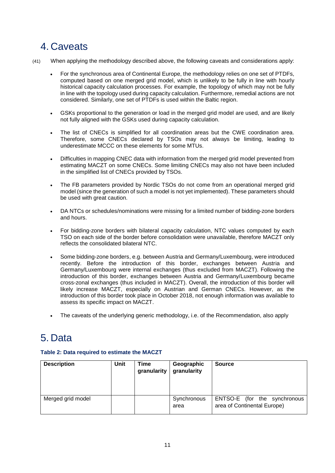## <span id="page-10-0"></span>4. Caveats

- (41) When applying the methodology described above, the following caveats and considerations apply:
	- For the synchronous area of Continental Europe, the methodology relies on one set of PTDFs, computed based on one merged grid model, which is unlikely to be fully in line with hourly historical capacity calculation processes. For example, the topology of which may not be fully in line with the topology used during capacity calculation. Furthermore, remedial actions are not considered. Similarly, one set of PTDFs is used within the Baltic region.
	- GSKs proportional to the generation or load in the merged grid model are used, and are likely not fully aligned with the GSKs used during capacity calculation.
	- The list of CNECs is simplified for all coordination areas but the CWE coordination area. Therefore, some CNECs declared by TSOs may not always be limiting, leading to underestimate MCCC on these elements for some MTUs.
	- Difficulties in mapping CNEC data with information from the merged grid model prevented from estimating MACZT on some CNECs. Some limiting CNECs may also not have been included in the simplified list of CNECs provided by TSOs.
	- The FB parameters provided by Nordic TSOs do not come from an operational merged grid model (since the generation of such a model is not yet implemented). These parameters should be used with great caution.
	- DA NTCs or schedules/nominations were missing for a limited number of bidding-zone borders and hours.
	- For bidding-zone borders with bilateral capacity calculation, NTC values computed by each TSO on each side of the border before consolidation were unavailable, therefore MACZT only reflects the consolidated bilateral NTC.
	- Some bidding-zone borders, e.g. between Austria and Germany/Luxembourg, were introduced recently. Before the introduction of this border, exchanges between Austria and Germany/Luxembourg were internal exchanges (thus excluded from MACZT). Following the introduction of this border, exchanges between Austria and Germany/Luxembourg became cross-zonal exchanges (thus included in MACZT). Overall, the introduction of this border will likely increase MACZT, especially on Austrian and German CNECs. However, as the introduction of this border took place in October 2018, not enough information was available to assess its specific impact on MACZT.
	- The caveats of the underlying generic methodology, i.e. of the Recommendation, also apply

# <span id="page-10-1"></span>5. Data

### **Table 2: Data required to estimate the MACZT**

| <b>Description</b> | Unit | Time<br>granularity | Geographic<br>granularity | <b>Source</b>                                               |
|--------------------|------|---------------------|---------------------------|-------------------------------------------------------------|
| Merged grid model  |      |                     | Synchronous<br>area       | ENTSO-E (for the synchronous<br>area of Continental Europe) |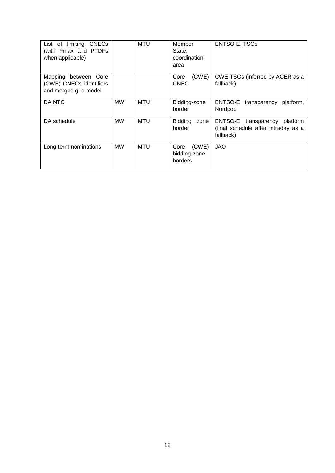| List of limiting CNECs<br>(with Fmax and PTDFs<br>when applicable)          |           | <b>MTU</b> | Member<br>State,<br>coordination<br>area | ENTSO-E, TSOs                                                                           |
|-----------------------------------------------------------------------------|-----------|------------|------------------------------------------|-----------------------------------------------------------------------------------------|
| Mapping<br>between Core<br>(CWE) CNECs identifiers<br>and merged grid model |           |            | (CWE)<br>Core<br><b>CNEC</b>             | CWE TSOs (inferred by ACER as a<br>fallback)                                            |
| DA NTC                                                                      | <b>MW</b> | MTU        | Bidding-zone<br>border                   | ENTSO-E<br>platform,<br>transparency<br>Nordpool                                        |
| DA schedule                                                                 | <b>MW</b> | MTU        | <b>Bidding</b><br>zone<br>border         | platform<br>ENTSO-E<br>transparency<br>(final schedule after intraday as a<br>fallback) |
| Long-term nominations                                                       | <b>MW</b> | MTU        | (CWE)<br>Core<br>bidding-zone<br>borders | <b>JAO</b>                                                                              |